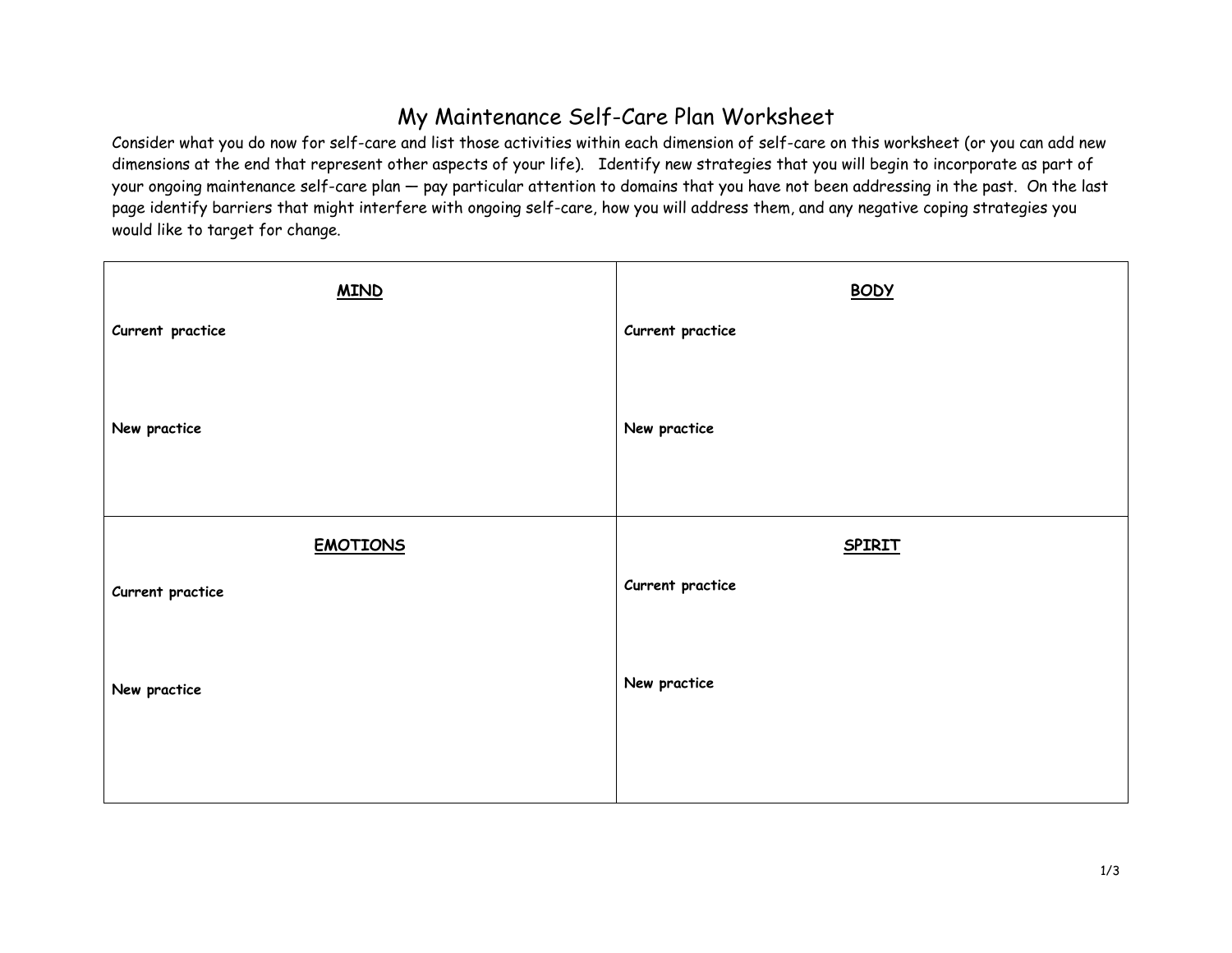## My Maintenance Self-Care Plan Worksheet

Consider what you do now for self-care and list those activities within each dimension of self-care on this worksheet (or you can add new dimensions at the end that represent other aspects of your life). Identify new strategies that you will begin to incorporate as part of your ongoing maintenance self-care plan — pay particular attention to domains that you have not been addressing in the past. On the last page identify barriers that might interfere with ongoing self-care, how you will address them, and any negative coping strategies you would like to target for change.

| <b>BODY</b>      |
|------------------|
| Current practice |
| New practice     |
| <b>SPIRIT</b>    |
| Current practice |
|                  |
| New practice     |
|                  |
|                  |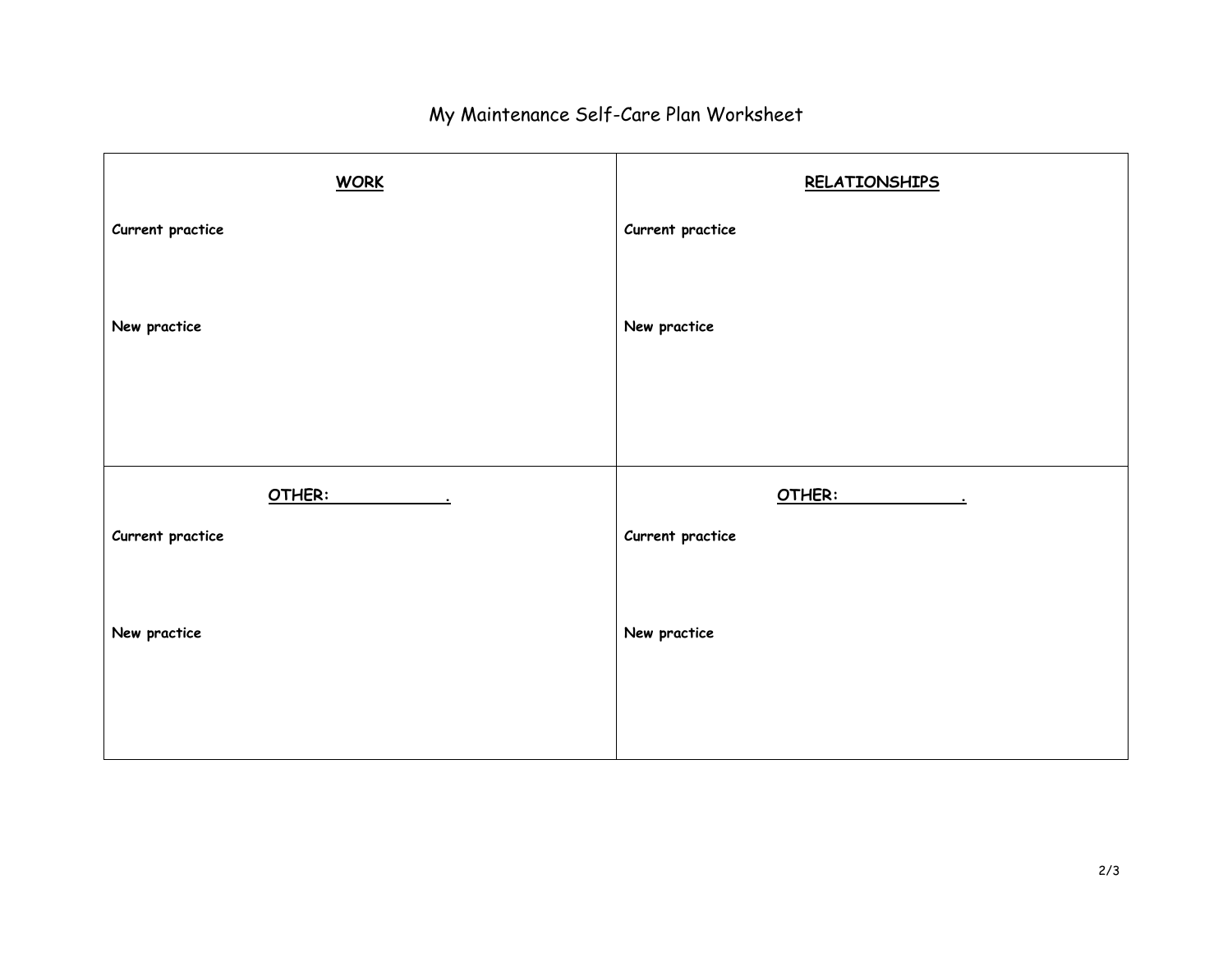## My Maintenance Self-Care Plan Worksheet

| <b>WORK</b>      | <b>RELATIONSHIPS</b> |
|------------------|----------------------|
| Current practice | Current practice     |
|                  |                      |
| New practice     | New practice         |
|                  |                      |
|                  |                      |
| OTHER:           | OTHER:               |
| Current practice | Current practice     |
|                  |                      |
| New practice     | New practice         |
|                  |                      |
|                  |                      |